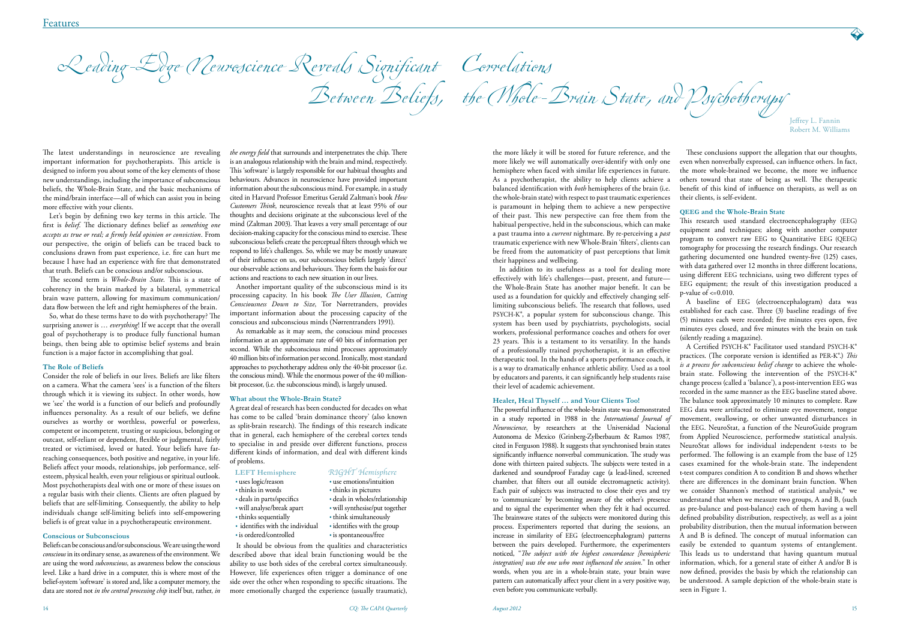

 Leading-Edge Neuroscience Reveals Significant Correlations Between Beliefs, the Whole-Brain State, and Psychotherapy

The latest understandings in neuroscience are revealing important information for psychotherapists. This article is designed to inform you about some of the key elements of those new understandings, including the importance of subconscious beliefs, the Whole-Brain State, and the basic mechanisms of the mind/brain interface—all of which can assist you in being more effective with your clients.

Let's begin by defining two key terms in this article. The first is *belief*. The dictionary defines belief as *something one accepts as true or real; a firmly held opinion or conviction*. From our perspective, the origin of beliefs can be traced back to conclusions drawn from past experience, i.e. fire can hurt me because I have had an experience with fire that demonstrated that truth. Beliefs can be conscious and/or subconscious.

The second term is *Whole-Brain State*. This is a state of coherency in the brain marked by a bilateral, symmetrical brain wave pattern, allowing for maximum communication/ data flow between the left and right hemispheres of the brain.

So, what do these terms have to do with psychotherapy? The surprising answer is … *everything*! If we accept that the overall goal of psychotherapy is to produce fully functional human beings, then being able to optimise belief systems and brain function is a major factor in accomplishing that goal.

## **The Role of Beliefs**

Consider the role of beliefs in our lives. Beliefs are like filters on a camera. What the camera 'sees' is a function of the filters through which it is viewing its subject. In other words, how we 'see' the world is a function of our beliefs and profoundly influences personality. As a result of our beliefs, we define ourselves as worthy or worthless, powerful or powerless, competent or incompetent, trusting or suspicious, belonging or outcast, self-reliant or dependent, flexible or judgmental, fairly treated or victimised, loved or hated. Your beliefs have farreaching consequences, both positive and negative, in your life. Beliefs affect your moods, relationships, job performance, selfesteem, physical health, even your religious or spiritual outlook. Most psychotherapists deal with one or more of these issues on a regular basis with their clients. Clients are often plagued by beliefs that are self-limiting. Consequently, the ability to help individuals change self-limiting beliefs into self-empowering beliefs is of great value in a psychotherapeutic environment.

## **Conscious or Subconscious**

Beliefs can be conscious and/or subconscious. We are using the word *conscious* in its ordinary sense, as awareness of the environment. We are using the word *subconscious*, as awareness below the conscious level. Like a hard drive in a computer, this is where most of the belief-system 'software' is stored and, like a computer memory, the data are stored not *in the central processing chip* itself but, rather, *in*  *the energy field* that surrounds and interpenetrates the chip. There is an analogous relationship with the brain and mind, respectively. This 'software' is largely responsible for our habitual thoughts and behaviours. Advances in neuroscience have provided important information about the subconscious mind. For example, in a study cited in Harvard Professor Emeritus Gerald Zaltman's book *How Customers Think*, neuroscience reveals that at least 95% of our thoughts and decisions originate at the subconscious level of the mind (Zaltman 2003). That leaves a very small percentage of our decision-making capacity for the conscious mind to exercise. These subconscious beliefs create the perceptual filters through which we respond to life's challenges. So, while we may be mostly unaware of their influence on us, our subconscious beliefs largely 'direct' our observable actions and behaviours. They form the basis for our actions and reactions to each new situation in our lives.

Another important quality of the subconscious mind is its processing capacity. In his book *The User Illusion, Cutting Consciousness Down to Size*, Tor Nørretranders, provides important information about the processing capacity of the conscious and subconscious minds (Nørrentranders 1991).

As remarkable as it may seem, the conscious mind processes information at an approximate rate of 40 bits of information per second. While the subconscious mind processes approximately 40 million bits of information per second. Ironically, most standard approaches to psychotherapy address only the 40-bit processor (i.e. the conscious mind). While the enormous power of the 40 millionbit processor, (i.e. the subconscious mind), is largely unused.

### **What about the Whole-Brain State?**

A great deal of research has been conducted for decades on what has come to be called 'brain dominance theory' (also known as split-brain research). The findings of this research indicate that in general, each hemisphere of the cerebral cortex tends to specialise in and preside over different functions, process different kinds of information, and deal with different kinds of problems.

• thinks in pictures

• think simultaneously<br>• identifies with the group

# **LEFT Hemisphere** *RIGHT Hemisphere*

- uses logic/reason use emotions/intuition<br>• thinks in words thinks in pictures
- 
- 
- deals in parts/specifics deals in wholes/relationship • will analyse/break apart • will synthesise/put together<br>• thinks sequentially • think simultaneously
- 
- $\cdot$  identifies with the individual • is ordered/controlled • is spontaneous/free

It should be obvious from the qualities and characteristics described above that ideal brain functioning would be the ability to use both sides of the cerebral cortex simultaneously. However, life experiences often trigger a dominance of one side over the other when responding to specific situations. The more emotionally charged the experience (usually traumatic), the more likely it will be stored for future reference, and the more likely we will automatically over-identify with only one hemisphere when faced with similar life experiences in future. As a psychotherapist, the ability to help clients achieve a balanced identification with *both* hemispheres of the brain (i.e. the whole-brain state) with respect to past traumatic experiences is paramount in helping them to achieve a new perspective of their past. This new perspective can free them from the habitual perspective, held in the subconscious, which can make a past trauma into a *current* nightmare. By re-perceiving a *past* traumatic experience with new Whole-Brain 'filters', clients can be freed from the automaticity of past perceptions that limit their happiness and wellbeing.

In addition to its usefulness as a tool for dealing more effectively with life's challenges—past, present, and future the Whole-Brain State has another major benefit. It can be used as a foundation for quickly and effectively changing selflimiting subconscious beliefs. The research that follows, used PSYCH-K®, a popular system for subconscious change. This system has been used by psychiatrists, psychologists, social workers, professional performance coaches and others for over 23 years. This is a testament to its versatility. In the hands using different EEG technicians, using two different types of EEG equipment; the result of this investigation produced a p-value of  $\leq$ =0.010. A baseline of EEG (electroencephalogram) data was established for each case. Three (3) baseline readings of five (5) minutes each were recorded; five minutes eyes open, five minutes eyes closed, and five minutes with the brain on task (silently reading a magazine). A Certified PSYCH-K® Facilitator used standard PSYCH-K® *is a process for subconscious belief change* to achieve the wholebrain state. Following the intervention of the PSYCH-K®

These conclusions support the allegation that our thoughts, even when nonverbally expressed, can influence others. In fact, the more whole-brained we become, the more we influence others toward that state of being as well. The therapeutic benefit of this kind of influence on therapists, as well as on their clients, is self-evident.

## **QEEG and the Whole-Brain State**

This research used standard electroencephalography (EEG) equipment and techniques; along with another computer program to convert raw EEG to Quantitative EEG (QEEG) tomography for processing the research findings. Our research gathering documented one hundred twenty-five (125) cases, with data gathered over 12 months in three different locations,

of a professionally trained psychotherapist, it is an effective therapeutic tool. In the hands of a sports performance coach, it is a way to dramatically enhance athletic ability. Used as a tool by educators and parents, it can significantly help students raise their level of academic achievement. **Healer, Heal Thyself … and Your Clients Too!** The powerful influence of the whole-brain state was demonstrated in a study reported in 1988 in the *International Journal of Neuroscience*, by researchers at the Universidad Nacional Autonoma de Mexico (Grinberg-Zylberbaum & Ramos 1987, cited in Ferguson 1988). It suggests that synchronised brain states significantly influence nonverbal communication. The study was done with thirteen paired subjects. The subjects were tested in a darkened and soundproof Faraday cage (a lead-lined, screened chamber, that filters out all outside electromagnetic activity). Each pair of subjects was instructed to close their eyes and try to 'communicate' by becoming aware of the other's presence and to signal the experimenter when they felt it had occurred. The brainwave states of the subjects were monitored during this process. Experimenters reported that during the sessions, an increase in similarity of EEG (electroencephalogram) patterns between the pairs developed. Furthermore, the experimenters noticed, "*The subject with the highest concordance [hemispheric integration] was the one who most influenced the session.*" In other words, when you are in a whole-brain state, your brain wave pattern can automatically affect your client in a very positive way, even before you communicate verbally. practices. (The corporate version is identified as PER-K®.) *This*  change process (called a 'balance'), a post-intervention EEG was recorded in the same manner as the EEG baseline stated above. The balance took approximately 10 minutes to complete. Raw EEG data were artifacted to eliminate eye movement, tongue movement, swallowing, or other unwanted disturbances in the EEG. NeuroStat, a function of the NeuroGuide program from Applied Neuroscience, performedw statistical analysis. NeuroStat allows for individual independent t-tests to be performed. The following is an example from the base of 125 cases examined for the whole-brain state. The independent t-test compares condition A to condition B and shows whether there are differences in the dominant brain function. When we consider Shannon's method of statistical analysis,\* we understand that when we measure two groups, A and B, (such as pre-balance and post-balance) each of them having a well defined probability distribution, respectively, as well as a joint probability distribution, then the mutual information between A and B is defined. The concept of mutual information can easily be extended to quantum systems of entanglement. This leads us to understand that having quantum mutual information, which, for a general state of either A and/or B is now defined, provides the basis by which the relationship can be understood. A sample depiction of the whole-brain state is seen in Figure 1.

Jeffrey L. Fannin Robert M. Williams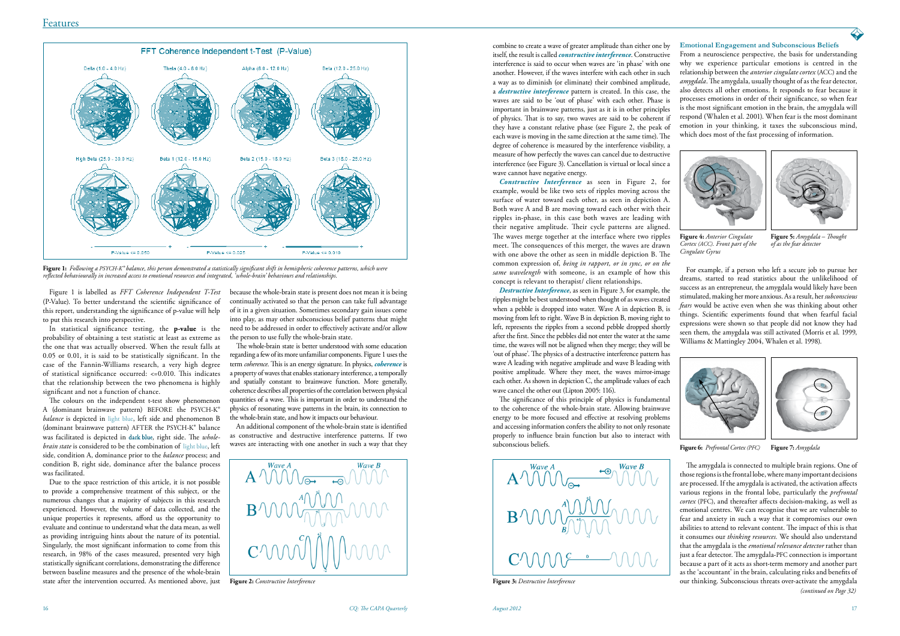

**Figure 2:** *Constructive Interference* **Figure 3:** *Destructive Interference*

Figure 1 is labelled as *FFT Coherence Independent T-Test*  (P-Value). To better understand the scientific significance of this report, understanding the significance of p-value will help to put this research into perspective.

In statistical significance testing, the **p-value** is the probability of obtaining a test statistic at least as extreme as the one that was actually observed. When the result falls at 0.05 or 0.01, it is said to be statistically significant. In the case of the Fannin-Williams research, a very high degree of statistical significance occurred: <=0.010. This indicates that the relationship between the two phenomena is highly significant and not a function of chance.

The colours on the independent t-test show phenomenon A (dominant brainwave pattern) BEFORE the PSYCH-K® *balance* is depicted in light blue, left side and phenomenon B (dominant brainwave pattern) AFTER the PSYCH-K® balance was facilitated is depicted in dark blue, right side. The *wholebrain state* is considered to be the combination of light blue, left side, condition A, dominance prior to the *balance* process; and condition B, right side, dominance after the balance process was facilitated.

Due to the space restriction of this article, it is not possible to provide a comprehensive treatment of this subject, or the numerous changes that a majority of subjects in this research experienced. However, the volume of data collected, and the unique properties it represents, afford us the opportunity to evaluate and continue to understand what the data mean, as well as providing intriguing hints about the nature of its potential. Singularly, the most significant information to come from this research, in 98% of the cases measured, presented very high statistically significant correlations, demonstrating the difference between baseline measures and the presence of the whole-brain state after the intervention occurred. As mentioned above, just

because the whole-brain state is present does not mean it is being continually activated so that the person can take full advantage of it in a given situation. Sometimes secondary gain issues come into play, as may other subconscious belief patterns that might need to be addressed in order to effectively activate and/or allow the person to use fully the whole-brain state.

The whole-brain state is better understood with some education regarding a few of its more unfamiliar components. Figure 1 uses the term *coherence*. This is an energy signature. In physics, *coherence* is a property of waves that enables stationary interference, a temporally and spatially constant to brainwave function. More generally, coherence describes all properties of the correlation between physical quantities of a wave. This is important in order to understand the physics of resonating wave patterns in the brain, its connection to the whole-brain state, and how it impacts our behaviour.

An additional component of the whole-brain state is identified as constructive and destructive interference patterns. If two waves are interacting with one another in such a way that they



**Figure 1:** *Following a PSYCH-K® balance, this person demonstrated a statistically significant shift in hemispheric coherence patterns, which were reflected behaviourally in increased access to emotional resources and integrated, 'whole-brain' behaviours and relationships.* 

*Constructive Interference* as seen in Figure 2, for example, would be like two sets of ripples moving across the surface of water toward each other, as seen in depiction A. Both wave A and B are moving toward each other with their ripples in-phase, in this case both waves are leading with their negative amplitude. Their cycle patterns are aligned. The waves merge together at the interface where two ripples meet. The consequences of this merger, the waves are drawn with one above the other as seen in middle depiction B. The common expression of, *being in rapport, or in sync, or on the same wavelength* with someone, is an example of how this concept is relevant to therapist/ client relationships.

combine to create a wave of greater amplitude than either one by itself, the result is called *constructive interference*. Constructive interference is said to occur when waves are 'in phase' with one another. However, if the waves interfere with each other in such a way as to diminish (or eliminate) their combined amplitude, a *destructive interference* pattern is created. In this case, the waves are said to be 'out of phase' with each other. Phase is important in brainwave patterns, just as it is in other principles of physics. That is to say, two waves are said to be coherent if they have a constant relative phase (see Figure 2, the peak of each wave is moving in the same direction at the same time). The degree of coherence is measured by the interference visibility, a measure of how perfectly the waves can cancel due to destructive interference (see Figure 3). Cancellation is virtual or local since a wave cannot have negative energy. From a neuroscience perspective, the basis for understanding why we experience particular emotions is centred in the relationship between the *anterior cingulate cortex* (ACC) and the *amygdala*. The amygdala, usually thought of as the fear detector, also detects all other emotions. It responds to fear because it processes emotions in order of their significance, so when fear is the most significant emotion in the brain, the amygdala will respond (Whalen et al. 2001). When fear is the most dominant emotion in your thinking, it taxes the subconscious mind, which does most of the fast processing of information.

*Destructive Interference*, as seen in Figure 3, for example, the ripples might be best understood when thought of as waves created when a pebble is dropped into water. Wave A in depiction B, is moving from left to right. Wave B in depiction B, moving right to left, represents the ripples from a second pebble dropped shortly after the first. Since the pebbles did not enter the water at the same time, the waves will not be aligned when they merge; they will be 'out of phase'. The physics of a destructive interference pattern has wave A leading with negative amplitude and wave B leading with positive amplitude. Where they meet, the waves mirror-image each other. As shown in depiction C, the amplitude values of each wave cancel the other out (Lipton 2005: 116).

> *(continued on Page 32)* The amygdala is connected to multiple brain regions. One of those regions is the frontal lobe, where many important decisions are processed. If the amygdala is activated, the activation affects various regions in the frontal lobe, particularly the *prefrontal cortex* (PFC), and thereafter affects decision-making, as well as emotional centres. We can recognise that we are vulnerable to fear and anxiety in such a way that it compromises our own abilities to attend to relevant content. The impact of this is that it consumes our *thinking resources.* We should also understand that the amygdala is the *emotional relevance detector* rather than just a fear detector. The amygdala-PFC connection is important because a part of it acts as short-term memory and another part as the 'accountant' in the brain, calculating risks and benefits of our thinking. Subconscious threats over-activate the amygdala

The significance of this principle of physics is fundamental to the coherence of the whole-brain state. Allowing brainwave energy to be more focused and effective at resolving problems and accessing information confers the ability to not only resonate properly to influence brain function but also to interact with subconscious beliefs.



### **Emotional Engagement and Subconscious Beliefs**



**Figure 5:** *Amygdala – Thought of as the fear detector*



**Figure 4:** *Anterior Cingulate Cortex (ACC). Front part of the Cingulate Gyrus*

For example, if a person who left a secure job to pursue her dreams, started to read statistics about the unlikelihood of success as an entrepreneur, the amygdala would likely have been stimulated, making her more anxious. As a result, her *subconscious fears* would be active even when she was thinking about other things. Scientific experiments found that when fearful facial expressions were shown so that people did not know they had seen them, the amygdala was still activated (Morris et al. 1999, Williams & Mattingley 2004, Whalen et al. 1998).



**Figure 6:** *Prefrontal Cortex (PFC)* **Figure 7:** *Amygdala*